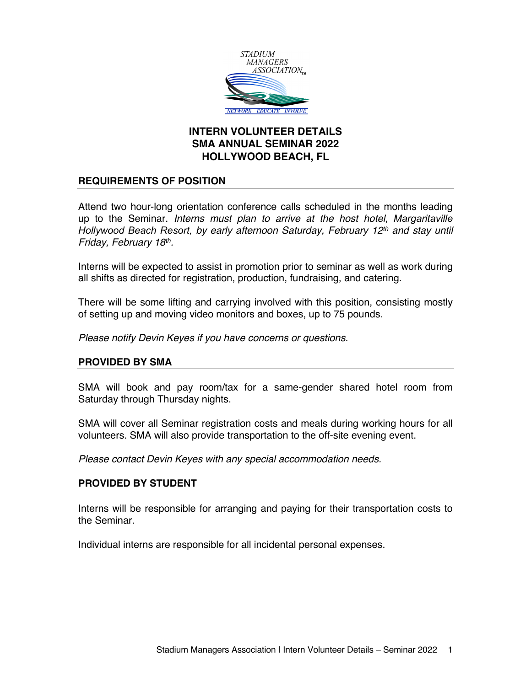

# **INTERN VOLUNTEER DETAILS SMA ANNUAL SEMINAR 2022 HOLLYWOOD BEACH, FL**

# **REQUIREMENTS OF POSITION**

Attend two hour-long orientation conference calls scheduled in the months leading up to the Seminar. *Interns must plan to arrive at the host hotel, Margaritaville Hollywood Beach Resort, by early afternoon Saturday, February 12th and stay until Friday, February 18th.*

Interns will be expected to assist in promotion prior to seminar as well as work during all shifts as directed for registration, production, fundraising, and catering.

There will be some lifting and carrying involved with this position, consisting mostly of setting up and moving video monitors and boxes, up to 75 pounds.

*Please notify Devin Keyes if you have concerns or questions.*

# **PROVIDED BY SMA**

SMA will book and pay room/tax for a same-gender shared hotel room from Saturday through Thursday nights.

SMA will cover all Seminar registration costs and meals during working hours for all volunteers. SMA will also provide transportation to the off-site evening event.

*Please contact Devin Keyes with any special accommodation needs.*

# **PROVIDED BY STUDENT**

Interns will be responsible for arranging and paying for their transportation costs to the Seminar.

Individual interns are responsible for all incidental personal expenses.